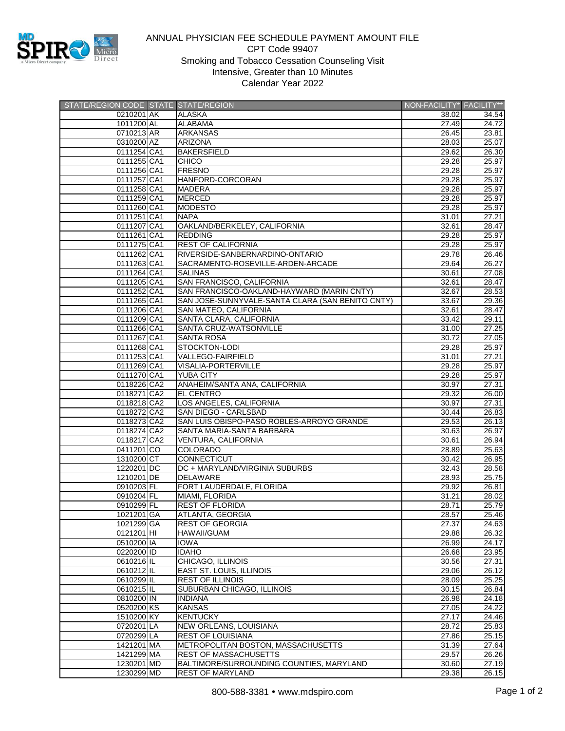

## ANNUAL PHYSICIAN FEE SCHEDULE PAYMENT AMOUNT FILE CPT Code 99407 Smoking and Tobacco Cessation Counseling Visit Intensive, Greater than 10 Minutes Calendar Year 2022

| STATE/REGION CODE STATE STATE/REGION |                                                  | NON-FACILITY* FACILITY** |       |
|--------------------------------------|--------------------------------------------------|--------------------------|-------|
| 0210201 AK                           | <b>ALASKA</b>                                    | 38.02                    | 34.54 |
| 1011200 AL                           | <b>ALABAMA</b>                                   | 27.49                    | 24.72 |
| 0710213 AR                           | <b>ARKANSAS</b>                                  | 26.45                    | 23.81 |
| 0310200 AZ                           | <b>ARIZONA</b>                                   | 28.03                    | 25.07 |
| 0111254 CA1                          | <b>BAKERSFIELD</b>                               | 29.62                    | 26.30 |
| 0111255 CA1                          | <b>CHICO</b>                                     | 29.28                    | 25.97 |
| 0111256 CA1                          | <b>FRESNO</b>                                    | 29.28                    | 25.97 |
| 0111257 CA1                          | HANFORD-CORCORAN                                 | 29.28                    | 25.97 |
| 0111258 CA1                          | <b>MADERA</b>                                    | 29.28                    | 25.97 |
| 0111259 CA1                          | <b>MERCED</b>                                    | 29.28                    | 25.97 |
|                                      |                                                  |                          |       |
| 0111260 CA1                          | <b>MODESTO</b>                                   | 29.28                    | 25.97 |
| 0111251 CA1                          | <b>NAPA</b>                                      | 31.01                    | 27.21 |
| 0111207 CA1                          | OAKLAND/BERKELEY, CALIFORNIA                     | 32.61                    | 28.47 |
| 0111261 CA1                          | <b>REDDING</b>                                   | 29.28                    | 25.97 |
| 0111275 CA1                          | <b>REST OF CALIFORNIA</b>                        | 29.28                    | 25.97 |
| 0111262 CA1                          | RIVERSIDE-SANBERNARDINO-ONTARIO                  | 29.78                    | 26.46 |
| 0111263 CA1                          | SACRAMENTO-ROSEVILLE-ARDEN-ARCADE                | 29.64                    | 26.27 |
| 0111264 CA1                          | <b>SALINAS</b>                                   | 30.61                    | 27.08 |
| 0111205 CA1                          | SAN FRANCISCO, CALIFORNIA                        | 32.61                    | 28.47 |
| 0111252 CA1                          | SAN FRANCISCO-OAKLAND-HAYWARD (MARIN CNTY)       | 32.67                    | 28.53 |
| 0111265 CA1                          | SAN JOSE-SUNNYVALE-SANTA CLARA (SAN BENITO CNTY) | 33.67                    | 29.36 |
| 0111206 CA1                          | SAN MATEO, CALIFORNIA                            | 32.61                    | 28.47 |
| 0111209 CA1                          | SANTA CLARA, CALIFORNIA                          | 33.42                    | 29.11 |
| 0111266 CA1                          | SANTA CRUZ-WATSONVILLE                           | 31.00                    | 27.25 |
| 0111267 CA1                          | <b>SANTA ROSA</b>                                | 30.72                    | 27.05 |
| 0111268 CA1                          | <b>STOCKTON-LODI</b>                             | 29.28                    | 25.97 |
| 0111253 CA1                          | VALLEGO-FAIRFIELD                                | 31.01                    | 27.21 |
| 0111269 CA1                          | VISALIA-PORTERVILLE                              | 29.28                    | 25.97 |
| 0111270 CA1                          | <b>YUBA CITY</b>                                 | 29.28                    | 25.97 |
| 0118226 CA2                          | ANAHEIM/SANTA ANA, CALIFORNIA                    | 30.97                    | 27.31 |
| 0118271 CA2                          | <b>EL CENTRO</b>                                 | 29.32                    | 26.00 |
| 0118218 CA2                          | LOS ANGELES, CALIFORNIA                          | 30.97                    | 27.31 |
| 0118272 CA2                          | SAN DIEGO - CARLSBAD                             | 30.44                    | 26.83 |
| 0118273 CA2                          | SAN LUIS OBISPO-PASO ROBLES-ARROYO GRANDE        | 29.53                    | 26.13 |
|                                      |                                                  |                          |       |
| 0118274 CA2                          | SANTA MARIA-SANTA BARBARA                        | 30.63                    | 26.97 |
| 0118217 CA2                          | VENTURA, CALIFORNIA                              | 30.61                    | 26.94 |
| 0411201 CO                           | <b>COLORADO</b>                                  | 28.89                    | 25.63 |
| 1310200 CT                           | CONNECTICUT                                      | 30.42                    | 26.95 |
| 1220201 DC                           | DC + MARYLAND/VIRGINIA SUBURBS                   | 32.43                    | 28.58 |
| 1210201 DE                           | <b>DELAWARE</b>                                  | 28.93                    | 25.75 |
| 0910203 FL                           | FORT LAUDERDALE, FLORIDA                         | 29.92                    | 26.81 |
| 0910204 FL                           | MIAMI, FLORIDA                                   | 31.21                    | 28.02 |
| 0910299 FL                           | <b>REST OF FLORIDA</b>                           | 28.71                    | 25.79 |
| 1021201 GA                           | ATLANTA, GEORGIA                                 | 28.57                    | 25.46 |
| 1021299 GA                           | <b>REST OF GEORGIA</b>                           | 27.37                    | 24.63 |
| 0121201 HI                           | <b>HAWAII/GUAM</b>                               | 29.88                    | 26.32 |
| 0510200 IA                           | <b>IOWA</b>                                      | 26.99                    | 24.17 |
| 0220200 ID                           | <b>IDAHO</b>                                     | 26.68                    | 23.95 |
| 0610216 IL                           | CHICAGO, ILLINOIS                                | 30.56                    | 27.31 |
| 0610212 IL                           | <b>EAST ST. LOUIS, ILLINOIS</b>                  | 29.06                    | 26.12 |
| 0610299 IL                           | REST OF ILLINOIS                                 | 28.09                    | 25.25 |
| 0610215 IL                           | SUBURBAN CHICAGO, ILLINOIS                       | 30.15                    | 26.84 |
| 0810200 IN                           | <b>INDIANA</b>                                   | 26.98                    | 24.18 |
| 0520200 KS                           | <b>KANSAS</b>                                    | 27.05                    | 24.22 |
| 1510200 KY                           | <b>KENTUCKY</b>                                  | 27.17                    | 24.46 |
| 0720201 LA                           | NEW ORLEANS, LOUISIANA                           | 28.72                    | 25.83 |
| 0720299 LA                           | <b>REST OF LOUISIANA</b>                         | 27.86                    | 25.15 |
| 1421201 MA                           | METROPOLITAN BOSTON, MASSACHUSETTS               | 31.39                    | 27.64 |
| 1421299 MA                           | <b>REST OF MASSACHUSETTS</b>                     | 29.57                    | 26.26 |
| 1230201 MD                           | BALTIMORE/SURROUNDING COUNTIES, MARYLAND         | 30.60                    | 27.19 |
| 1230299 MD                           | <b>REST OF MARYLAND</b>                          | 29.38                    | 26.15 |
|                                      |                                                  |                          |       |